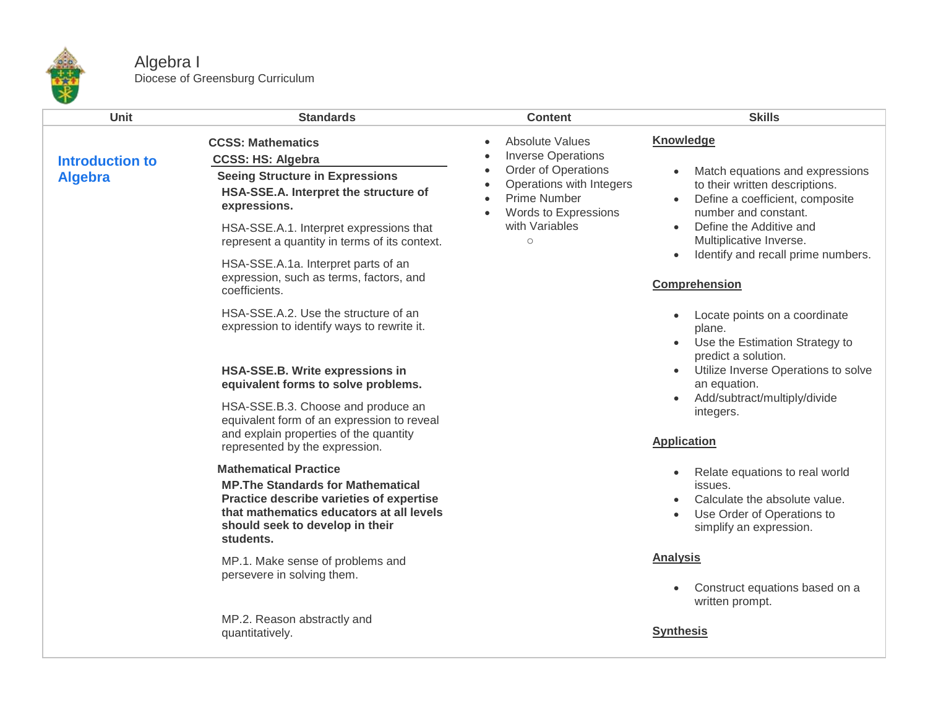

## Algebra I Diocese of Greensburg Curriculum

| <b>Unit</b>                              | <b>Standards</b>                                                                                                                                                                                                  | <b>Content</b>                                                                                                                | <b>Skills</b>                                                                                                                                           |
|------------------------------------------|-------------------------------------------------------------------------------------------------------------------------------------------------------------------------------------------------------------------|-------------------------------------------------------------------------------------------------------------------------------|---------------------------------------------------------------------------------------------------------------------------------------------------------|
|                                          | <b>CCSS: Mathematics</b><br><b>CCSS: HS: Algebra</b>                                                                                                                                                              | <b>Absolute Values</b><br>$\bullet$<br><b>Inverse Operations</b>                                                              | Knowledge                                                                                                                                               |
| <b>Introduction to</b><br><b>Algebra</b> | <b>Seeing Structure in Expressions</b><br>HSA-SSE.A. Interpret the structure of<br>expressions.<br>HSA-SSE.A.1. Interpret expressions that                                                                        | Order of Operations<br>$\bullet$<br>Operations with Integers<br><b>Prime Number</b><br>Words to Expressions<br>with Variables | Match equations and expressions<br>to their written descriptions.<br>Define a coefficient, composite<br>number and constant.<br>Define the Additive and |
|                                          | represent a quantity in terms of its context.                                                                                                                                                                     | $\circ$                                                                                                                       | Multiplicative Inverse.<br>Identify and recall prime numbers.                                                                                           |
|                                          | HSA-SSE.A.1a. Interpret parts of an<br>expression, such as terms, factors, and<br>coefficients.                                                                                                                   |                                                                                                                               | Comprehension                                                                                                                                           |
|                                          | HSA-SSE.A.2. Use the structure of an<br>expression to identify ways to rewrite it.                                                                                                                                |                                                                                                                               | Locate points on a coordinate<br>plane.<br>Use the Estimation Strategy to<br>predict a solution.                                                        |
|                                          | HSA-SSE.B. Write expressions in<br>equivalent forms to solve problems.                                                                                                                                            |                                                                                                                               | Utilize Inverse Operations to solve<br>an equation.                                                                                                     |
|                                          | HSA-SSE.B.3. Choose and produce an<br>equivalent form of an expression to reveal<br>and explain properties of the quantity                                                                                        |                                                                                                                               | Add/subtract/multiply/divide<br>integers.                                                                                                               |
|                                          | represented by the expression.                                                                                                                                                                                    |                                                                                                                               | <b>Application</b>                                                                                                                                      |
|                                          | <b>Mathematical Practice</b><br><b>MP. The Standards for Mathematical</b><br>Practice describe varieties of expertise<br>that mathematics educators at all levels<br>should seek to develop in their<br>students. |                                                                                                                               | Relate equations to real world<br>issues.<br>Calculate the absolute value.<br>Use Order of Operations to<br>simplify an expression.                     |
|                                          | MP.1. Make sense of problems and<br>persevere in solving them.                                                                                                                                                    |                                                                                                                               | <b>Analysis</b>                                                                                                                                         |
|                                          |                                                                                                                                                                                                                   |                                                                                                                               | Construct equations based on a<br>written prompt.                                                                                                       |
|                                          | MP.2. Reason abstractly and<br>quantitatively.                                                                                                                                                                    |                                                                                                                               | <b>Synthesis</b>                                                                                                                                        |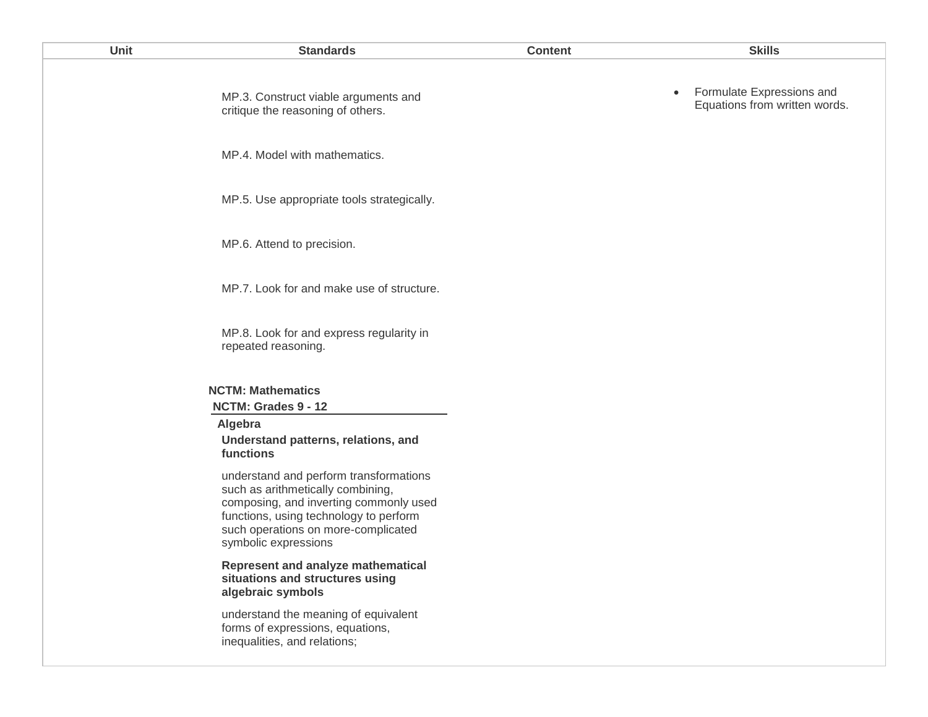| Unit | <b>Standards</b>                                                                                                                                                                                                               | <b>Content</b> | <b>Skills</b>                                                           |
|------|--------------------------------------------------------------------------------------------------------------------------------------------------------------------------------------------------------------------------------|----------------|-------------------------------------------------------------------------|
|      | MP.3. Construct viable arguments and<br>critique the reasoning of others.                                                                                                                                                      |                | Formulate Expressions and<br>$\bullet$<br>Equations from written words. |
|      | MP.4. Model with mathematics.                                                                                                                                                                                                  |                |                                                                         |
|      | MP.5. Use appropriate tools strategically.                                                                                                                                                                                     |                |                                                                         |
|      | MP.6. Attend to precision.                                                                                                                                                                                                     |                |                                                                         |
|      | MP.7. Look for and make use of structure.                                                                                                                                                                                      |                |                                                                         |
|      | MP.8. Look for and express regularity in<br>repeated reasoning.                                                                                                                                                                |                |                                                                         |
|      | <b>NCTM: Mathematics</b><br>NCTM: Grades 9 - 12                                                                                                                                                                                |                |                                                                         |
|      | Algebra<br>Understand patterns, relations, and<br>functions                                                                                                                                                                    |                |                                                                         |
|      | understand and perform transformations<br>such as arithmetically combining,<br>composing, and inverting commonly used<br>functions, using technology to perform<br>such operations on more-complicated<br>symbolic expressions |                |                                                                         |
|      | Represent and analyze mathematical<br>situations and structures using<br>algebraic symbols                                                                                                                                     |                |                                                                         |
|      | understand the meaning of caujualant                                                                                                                                                                                           |                |                                                                         |

understand the meaning of equivalent forms of expressions, equations, inequalities, and relations;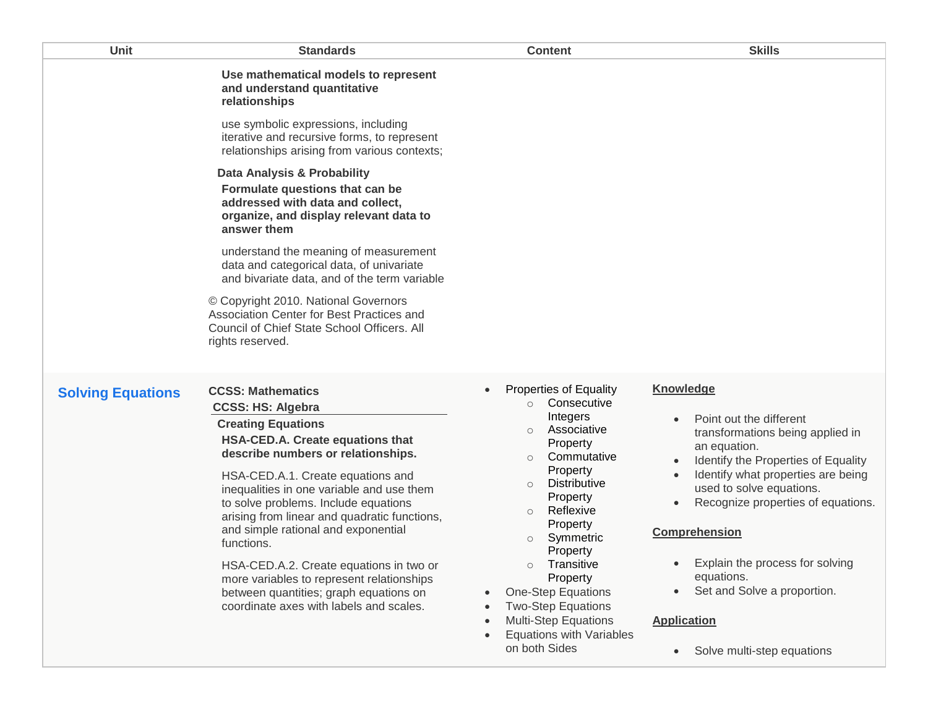| Unit                     | <b>Standards</b>                                                                                                                                                                                                                                                                                                                                                                                                                                                                                                                                                        | <b>Content</b>                                                                                                                                                                                                                                                                                                                                                                                                                                                       | <b>Skills</b>                                                                                                                                                                                                                                                                                                                                                                                              |
|--------------------------|-------------------------------------------------------------------------------------------------------------------------------------------------------------------------------------------------------------------------------------------------------------------------------------------------------------------------------------------------------------------------------------------------------------------------------------------------------------------------------------------------------------------------------------------------------------------------|----------------------------------------------------------------------------------------------------------------------------------------------------------------------------------------------------------------------------------------------------------------------------------------------------------------------------------------------------------------------------------------------------------------------------------------------------------------------|------------------------------------------------------------------------------------------------------------------------------------------------------------------------------------------------------------------------------------------------------------------------------------------------------------------------------------------------------------------------------------------------------------|
|                          | Use mathematical models to represent<br>and understand quantitative<br>relationships                                                                                                                                                                                                                                                                                                                                                                                                                                                                                    |                                                                                                                                                                                                                                                                                                                                                                                                                                                                      |                                                                                                                                                                                                                                                                                                                                                                                                            |
|                          | use symbolic expressions, including<br>iterative and recursive forms, to represent<br>relationships arising from various contexts;                                                                                                                                                                                                                                                                                                                                                                                                                                      |                                                                                                                                                                                                                                                                                                                                                                                                                                                                      |                                                                                                                                                                                                                                                                                                                                                                                                            |
|                          | Data Analysis & Probability<br>Formulate questions that can be<br>addressed with data and collect,<br>organize, and display relevant data to<br>answer them                                                                                                                                                                                                                                                                                                                                                                                                             |                                                                                                                                                                                                                                                                                                                                                                                                                                                                      |                                                                                                                                                                                                                                                                                                                                                                                                            |
|                          | understand the meaning of measurement<br>data and categorical data, of univariate<br>and bivariate data, and of the term variable                                                                                                                                                                                                                                                                                                                                                                                                                                       |                                                                                                                                                                                                                                                                                                                                                                                                                                                                      |                                                                                                                                                                                                                                                                                                                                                                                                            |
|                          | © Copyright 2010. National Governors<br>Association Center for Best Practices and<br>Council of Chief State School Officers. All<br>rights reserved.                                                                                                                                                                                                                                                                                                                                                                                                                    |                                                                                                                                                                                                                                                                                                                                                                                                                                                                      |                                                                                                                                                                                                                                                                                                                                                                                                            |
| <b>Solving Equations</b> | <b>CCSS: Mathematics</b><br><b>CCSS: HS: Algebra</b><br><b>Creating Equations</b><br>HSA-CED.A. Create equations that<br>describe numbers or relationships.<br>HSA-CED.A.1. Create equations and<br>inequalities in one variable and use them<br>to solve problems. Include equations<br>arising from linear and quadratic functions,<br>and simple rational and exponential<br>functions.<br>HSA-CED.A.2. Create equations in two or<br>more variables to represent relationships<br>between quantities; graph equations on<br>coordinate axes with labels and scales. | <b>Properties of Equality</b><br>$\bullet$<br>Consecutive<br>$\circ$<br>Integers<br>Associative<br>$\circ$<br>Property<br>Commutative<br>$\circ$<br>Property<br><b>Distributive</b><br>$\circ$<br>Property<br>Reflexive<br>$\circ$<br>Property<br>Symmetric<br>$\circ$<br>Property<br>Transitive<br>$\circ$<br>Property<br><b>One-Step Equations</b><br><b>Two-Step Equations</b><br><b>Multi-Step Equations</b><br><b>Equations with Variables</b><br>on both Sides | <b>Knowledge</b><br>Point out the different<br>transformations being applied in<br>an equation.<br>Identify the Properties of Equality<br>Identify what properties are being<br>used to solve equations.<br>Recognize properties of equations.<br><b>Comprehension</b><br>Explain the process for solving<br>equations.<br>Set and Solve a proportion.<br><b>Application</b><br>Solve multi-step equations |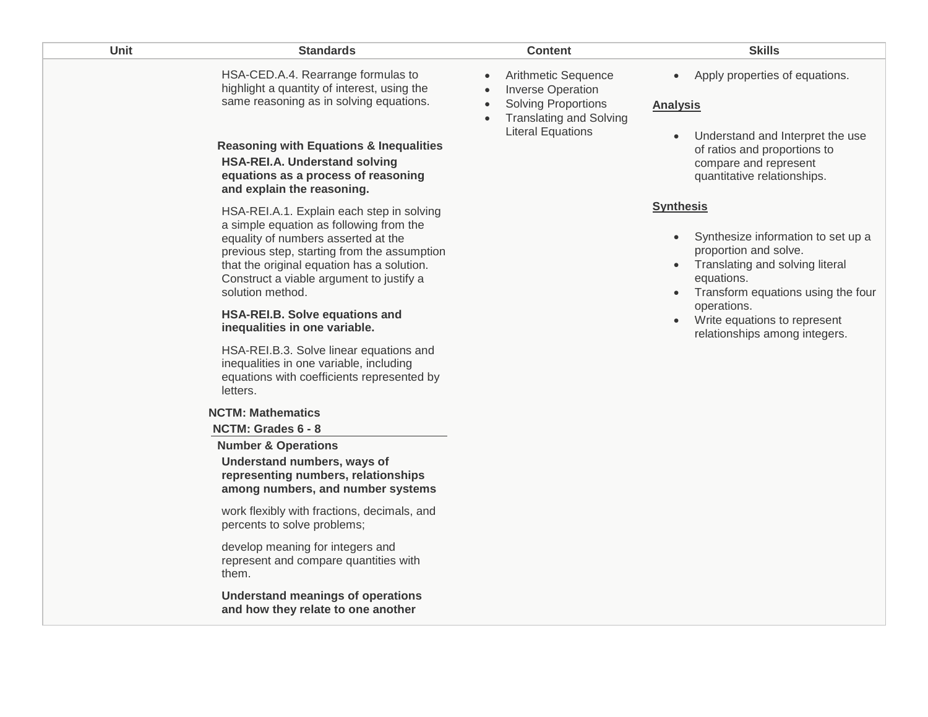| Unit | <b>Standards</b>                                                                                                                                                                                                                                                                                                                                                                                                                                                                                                                                                                                                                                                                                                                                                 | <b>Content</b>                                                                                                                                                                                  | <b>Skills</b>                                                                                                                                                                                                                                                                                 |
|------|------------------------------------------------------------------------------------------------------------------------------------------------------------------------------------------------------------------------------------------------------------------------------------------------------------------------------------------------------------------------------------------------------------------------------------------------------------------------------------------------------------------------------------------------------------------------------------------------------------------------------------------------------------------------------------------------------------------------------------------------------------------|-------------------------------------------------------------------------------------------------------------------------------------------------------------------------------------------------|-----------------------------------------------------------------------------------------------------------------------------------------------------------------------------------------------------------------------------------------------------------------------------------------------|
|      | HSA-CED.A.4. Rearrange formulas to<br>highlight a quantity of interest, using the<br>same reasoning as in solving equations.<br><b>Reasoning with Equations &amp; Inequalities</b><br><b>HSA-REI.A. Understand solving</b><br>equations as a process of reasoning<br>and explain the reasoning.                                                                                                                                                                                                                                                                                                                                                                                                                                                                  | Arithmetic Sequence<br>$\bullet$<br><b>Inverse Operation</b><br>$\bullet$<br><b>Solving Proportions</b><br>$\bullet$<br><b>Translating and Solving</b><br>$\bullet$<br><b>Literal Equations</b> | Apply properties of equations.<br>$\bullet$<br><b>Analysis</b><br>Understand and Interpret the use<br>$\bullet$<br>of ratios and proportions to<br>compare and represent<br>quantitative relationships.                                                                                       |
|      | HSA-REI.A.1. Explain each step in solving<br>a simple equation as following from the<br>equality of numbers asserted at the<br>previous step, starting from the assumption<br>that the original equation has a solution.<br>Construct a viable argument to justify a<br>solution method.<br><b>HSA-REI.B. Solve equations and</b><br>inequalities in one variable.<br>HSA-REI.B.3. Solve linear equations and<br>inequalities in one variable, including<br>equations with coefficients represented by<br>letters.<br><b>NCTM: Mathematics</b><br>NCTM: Grades 6 - 8<br><b>Number &amp; Operations</b><br>Understand numbers, ways of<br>representing numbers, relationships<br>among numbers, and number systems<br>work flexibly with fractions, decimals, and |                                                                                                                                                                                                 | <b>Synthesis</b><br>Synthesize information to set up a<br>$\bullet$<br>proportion and solve.<br>Translating and solving literal<br>$\bullet$<br>equations.<br>Transform equations using the four<br>operations.<br>Write equations to represent<br>$\bullet$<br>relationships among integers. |
|      | percents to solve problems;<br>develop meaning for integers and<br>represent and compare quantities with<br>them.                                                                                                                                                                                                                                                                                                                                                                                                                                                                                                                                                                                                                                                |                                                                                                                                                                                                 |                                                                                                                                                                                                                                                                                               |
|      | <b>Understand meanings of operations</b><br>and how they relate to one another                                                                                                                                                                                                                                                                                                                                                                                                                                                                                                                                                                                                                                                                                   |                                                                                                                                                                                                 |                                                                                                                                                                                                                                                                                               |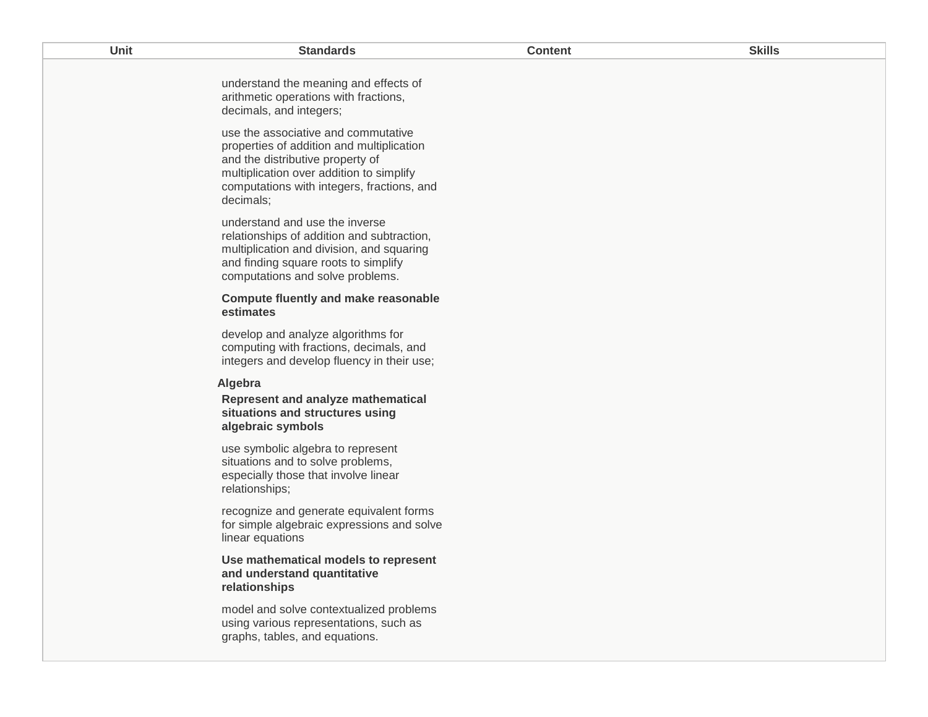| Unit | <b>Standards</b>                                                                                                                                                                                                            | <b>Content</b> | <b>Skills</b> |
|------|-----------------------------------------------------------------------------------------------------------------------------------------------------------------------------------------------------------------------------|----------------|---------------|
|      | understand the meaning and effects of<br>arithmetic operations with fractions,<br>decimals, and integers;                                                                                                                   |                |               |
|      | use the associative and commutative<br>properties of addition and multiplication<br>and the distributive property of<br>multiplication over addition to simplify<br>computations with integers, fractions, and<br>decimals; |                |               |
|      | understand and use the inverse<br>relationships of addition and subtraction,<br>multiplication and division, and squaring<br>and finding square roots to simplify<br>computations and solve problems.                       |                |               |
|      | <b>Compute fluently and make reasonable</b><br>estimates                                                                                                                                                                    |                |               |
|      | develop and analyze algorithms for<br>computing with fractions, decimals, and<br>integers and develop fluency in their use;                                                                                                 |                |               |
|      | Algebra<br><b>Represent and analyze mathematical</b><br>situations and structures using<br>algebraic symbols                                                                                                                |                |               |
|      | use symbolic algebra to represent<br>situations and to solve problems,<br>especially those that involve linear<br>relationships;                                                                                            |                |               |
|      | recognize and generate equivalent forms<br>for simple algebraic expressions and solve<br>linear equations                                                                                                                   |                |               |
|      | Use mathematical models to represent<br>and understand quantitative<br>relationships                                                                                                                                        |                |               |
|      | model and solve contextualized problems<br>using various representations, such as<br>graphs, tables, and equations.                                                                                                         |                |               |
|      |                                                                                                                                                                                                                             |                |               |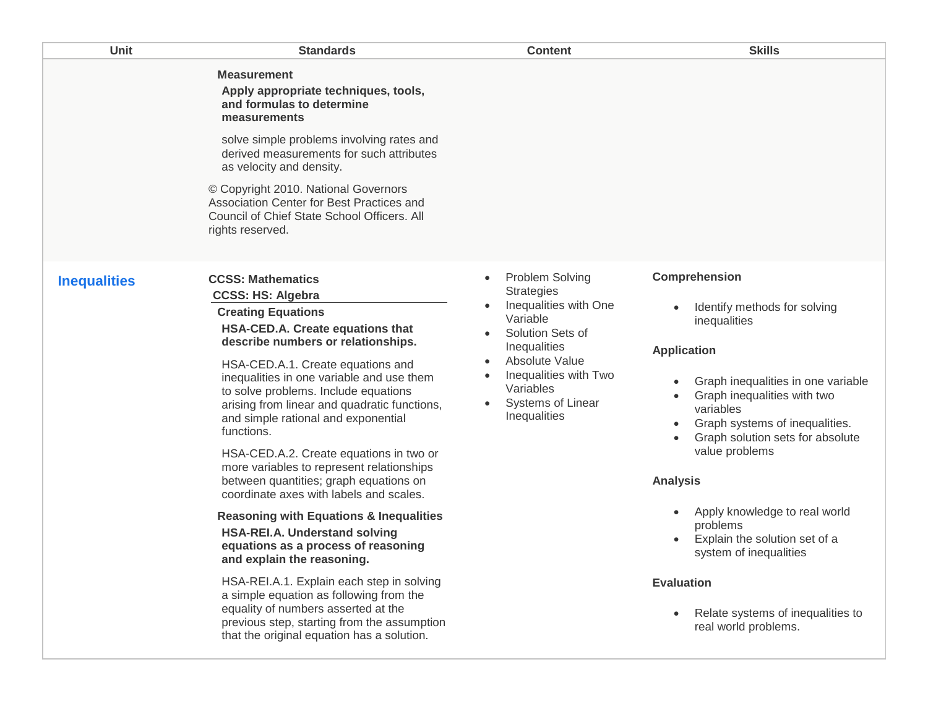| Unit                | <b>Standards</b>                                                                                                                                                                                                                                                                                                                                                                                                                                                                                                                                                                                                                                                                                                                                                                                                                                                                                                                                                | <b>Content</b>                                                                                                                                                                                                                 | <b>Skills</b>                                                                                                                                                                                                                                                                                                                                                                                                                                                                                                     |
|---------------------|-----------------------------------------------------------------------------------------------------------------------------------------------------------------------------------------------------------------------------------------------------------------------------------------------------------------------------------------------------------------------------------------------------------------------------------------------------------------------------------------------------------------------------------------------------------------------------------------------------------------------------------------------------------------------------------------------------------------------------------------------------------------------------------------------------------------------------------------------------------------------------------------------------------------------------------------------------------------|--------------------------------------------------------------------------------------------------------------------------------------------------------------------------------------------------------------------------------|-------------------------------------------------------------------------------------------------------------------------------------------------------------------------------------------------------------------------------------------------------------------------------------------------------------------------------------------------------------------------------------------------------------------------------------------------------------------------------------------------------------------|
|                     | <b>Measurement</b><br>Apply appropriate techniques, tools,<br>and formulas to determine<br>measurements<br>solve simple problems involving rates and<br>derived measurements for such attributes<br>as velocity and density.<br>© Copyright 2010. National Governors<br>Association Center for Best Practices and<br>Council of Chief State School Officers. All<br>rights reserved.                                                                                                                                                                                                                                                                                                                                                                                                                                                                                                                                                                            |                                                                                                                                                                                                                                |                                                                                                                                                                                                                                                                                                                                                                                                                                                                                                                   |
| <b>Inequalities</b> | <b>CCSS: Mathematics</b><br><b>CCSS: HS: Algebra</b><br><b>Creating Equations</b><br>HSA-CED.A. Create equations that<br>describe numbers or relationships.<br>HSA-CED.A.1. Create equations and<br>inequalities in one variable and use them<br>to solve problems. Include equations<br>arising from linear and quadratic functions,<br>and simple rational and exponential<br>functions.<br>HSA-CED.A.2. Create equations in two or<br>more variables to represent relationships<br>between quantities; graph equations on<br>coordinate axes with labels and scales.<br><b>Reasoning with Equations &amp; Inequalities</b><br>HSA-REI.A. Understand solving<br>equations as a process of reasoning<br>and explain the reasoning.<br>HSA-REI.A.1. Explain each step in solving<br>a simple equation as following from the<br>equality of numbers asserted at the<br>previous step, starting from the assumption<br>that the original equation has a solution. | <b>Problem Solving</b><br>$\bullet$<br><b>Strategies</b><br>Inequalities with One<br>Variable<br>Solution Sets of<br>Inequalities<br>Absolute Value<br>Inequalities with Two<br>Variables<br>Systems of Linear<br>Inequalities | Comprehension<br>Identify methods for solving<br>$\bullet$<br>inequalities<br><b>Application</b><br>Graph inequalities in one variable<br>Graph inequalities with two<br>variables<br>Graph systems of inequalities.<br>$\bullet$<br>Graph solution sets for absolute<br>value problems<br><b>Analysis</b><br>Apply knowledge to real world<br>$\bullet$<br>problems<br>Explain the solution set of a<br>system of inequalities<br><b>Evaluation</b><br>Relate systems of inequalities to<br>real world problems. |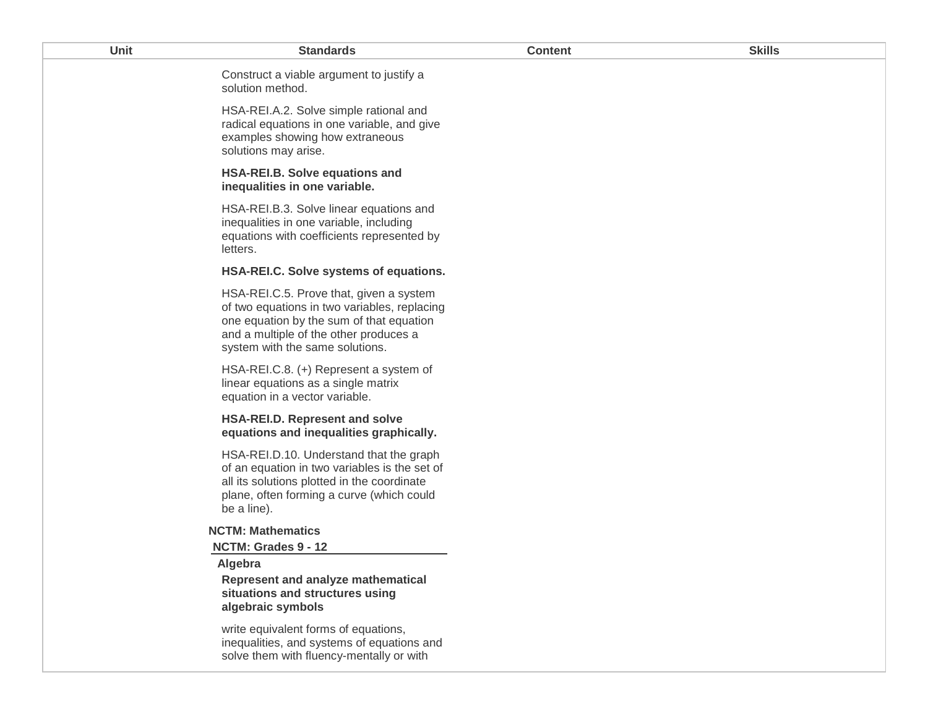| Unit | <b>Standards</b>                                                                                                                                                                                                 | <b>Content</b> | <b>Skills</b> |
|------|------------------------------------------------------------------------------------------------------------------------------------------------------------------------------------------------------------------|----------------|---------------|
|      | Construct a viable argument to justify a<br>solution method.                                                                                                                                                     |                |               |
|      | HSA-REI.A.2. Solve simple rational and<br>radical equations in one variable, and give<br>examples showing how extraneous<br>solutions may arise.                                                                 |                |               |
|      | <b>HSA-REI.B. Solve equations and</b><br>inequalities in one variable.                                                                                                                                           |                |               |
|      | HSA-REI.B.3. Solve linear equations and<br>inequalities in one variable, including<br>equations with coefficients represented by<br>letters.                                                                     |                |               |
|      | HSA-REI.C. Solve systems of equations.                                                                                                                                                                           |                |               |
|      | HSA-REI.C.5. Prove that, given a system<br>of two equations in two variables, replacing<br>one equation by the sum of that equation<br>and a multiple of the other produces a<br>system with the same solutions. |                |               |
|      | HSA-REI.C.8. (+) Represent a system of<br>linear equations as a single matrix<br>equation in a vector variable.                                                                                                  |                |               |
|      | HSA-REI.D. Represent and solve<br>equations and inequalities graphically.                                                                                                                                        |                |               |
|      | HSA-REI.D.10. Understand that the graph<br>of an equation in two variables is the set of<br>all its solutions plotted in the coordinate<br>plane, often forming a curve (which could<br>be a line).              |                |               |
|      | <b>NCTM: Mathematics</b>                                                                                                                                                                                         |                |               |
|      | NCTM: Grades 9 - 12                                                                                                                                                                                              |                |               |
|      | Algebra<br>Represent and analyze mathematical<br>situations and structures using<br>algebraic symbols                                                                                                            |                |               |
|      | write equivalent forms of equations,<br>inequalities, and systems of equations and<br>solve them with fluency-mentally or with                                                                                   |                |               |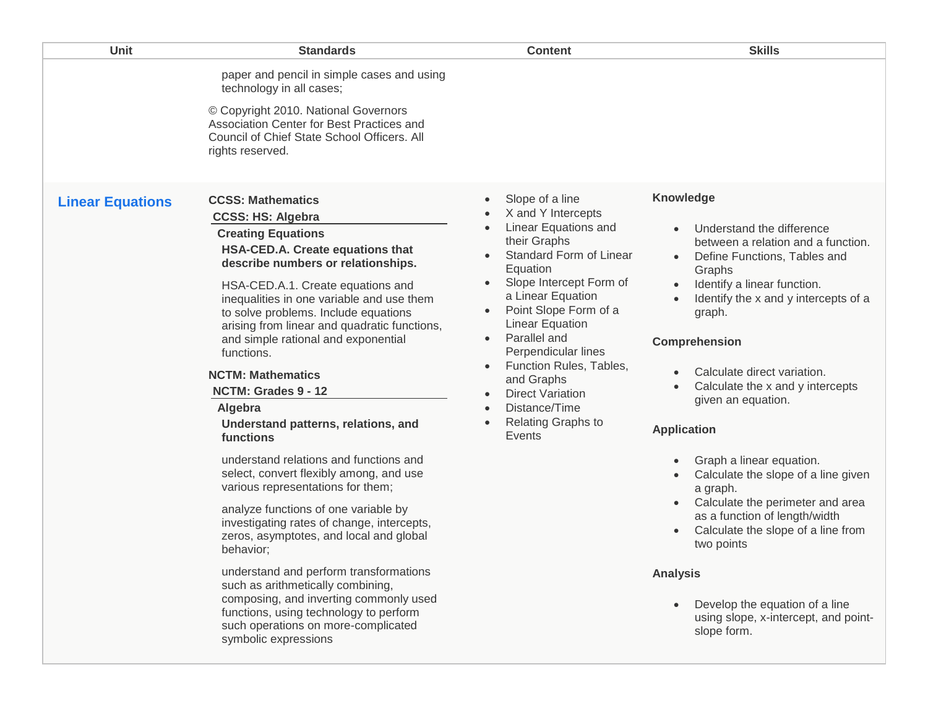| Unit                    | <b>Standards</b>                                                                                                                                                                                                                                                                                                                                                                                                                                                                                                                                                                                                                                                                                                                                                                     | <b>Content</b>                                                                                                                                                                                                                                                                                                                                                                                                                                                                                                               | <b>Skills</b>                                                                                                                                                                                                                                                                                                                                                                                                                                                                                                                                                                                       |
|-------------------------|--------------------------------------------------------------------------------------------------------------------------------------------------------------------------------------------------------------------------------------------------------------------------------------------------------------------------------------------------------------------------------------------------------------------------------------------------------------------------------------------------------------------------------------------------------------------------------------------------------------------------------------------------------------------------------------------------------------------------------------------------------------------------------------|------------------------------------------------------------------------------------------------------------------------------------------------------------------------------------------------------------------------------------------------------------------------------------------------------------------------------------------------------------------------------------------------------------------------------------------------------------------------------------------------------------------------------|-----------------------------------------------------------------------------------------------------------------------------------------------------------------------------------------------------------------------------------------------------------------------------------------------------------------------------------------------------------------------------------------------------------------------------------------------------------------------------------------------------------------------------------------------------------------------------------------------------|
|                         | paper and pencil in simple cases and using<br>technology in all cases;<br>© Copyright 2010. National Governors<br>Association Center for Best Practices and<br>Council of Chief State School Officers. All<br>rights reserved.                                                                                                                                                                                                                                                                                                                                                                                                                                                                                                                                                       |                                                                                                                                                                                                                                                                                                                                                                                                                                                                                                                              |                                                                                                                                                                                                                                                                                                                                                                                                                                                                                                                                                                                                     |
| <b>Linear Equations</b> | <b>CCSS: Mathematics</b><br><b>CCSS: HS: Algebra</b><br><b>Creating Equations</b><br>HSA-CED.A. Create equations that<br>describe numbers or relationships.<br>HSA-CED.A.1. Create equations and<br>inequalities in one variable and use them<br>to solve problems. Include equations<br>arising from linear and quadratic functions,<br>and simple rational and exponential<br>functions.<br><b>NCTM: Mathematics</b><br>NCTM: Grades 9 - 12<br>Algebra<br>Understand patterns, relations, and<br>functions<br>understand relations and functions and<br>select, convert flexibly among, and use<br>various representations for them;<br>analyze functions of one variable by<br>investigating rates of change, intercepts,<br>zeros, asymptotes, and local and global<br>behavior; | Slope of a line<br>$\bullet$<br>X and Y Intercepts<br>Linear Equations and<br>$\bullet$<br>their Graphs<br>Standard Form of Linear<br>$\bullet$<br>Equation<br>Slope Intercept Form of<br>$\bullet$<br>a Linear Equation<br>Point Slope Form of a<br>$\bullet$<br><b>Linear Equation</b><br>Parallel and<br>$\bullet$<br>Perpendicular lines<br>Function Rules, Tables,<br>$\bullet$<br>and Graphs<br><b>Direct Variation</b><br>$\bullet$<br>Distance/Time<br>$\bullet$<br><b>Relating Graphs to</b><br>$\bullet$<br>Events | Knowledge<br>Understand the difference<br>$\bullet$<br>between a relation and a function.<br>Define Functions, Tables and<br>Graphs<br>Identify a linear function.<br>$\bullet$<br>Identify the x and y intercepts of a<br>graph.<br>Comprehension<br>Calculate direct variation.<br>$\bullet$<br>Calculate the x and y intercepts<br>$\bullet$<br>given an equation.<br><b>Application</b><br>Graph a linear equation.<br>Calculate the slope of a line given<br>a graph.<br>Calculate the perimeter and area<br>as a function of length/width<br>Calculate the slope of a line from<br>two points |
|                         | understand and perform transformations<br>such as arithmetically combining,<br>composing, and inverting commonly used<br>functions, using technology to perform<br>such operations on more-complicated<br>symbolic expressions                                                                                                                                                                                                                                                                                                                                                                                                                                                                                                                                                       |                                                                                                                                                                                                                                                                                                                                                                                                                                                                                                                              | <b>Analysis</b><br>Develop the equation of a line<br>$\bullet$<br>using slope, x-intercept, and point-<br>slope form.                                                                                                                                                                                                                                                                                                                                                                                                                                                                               |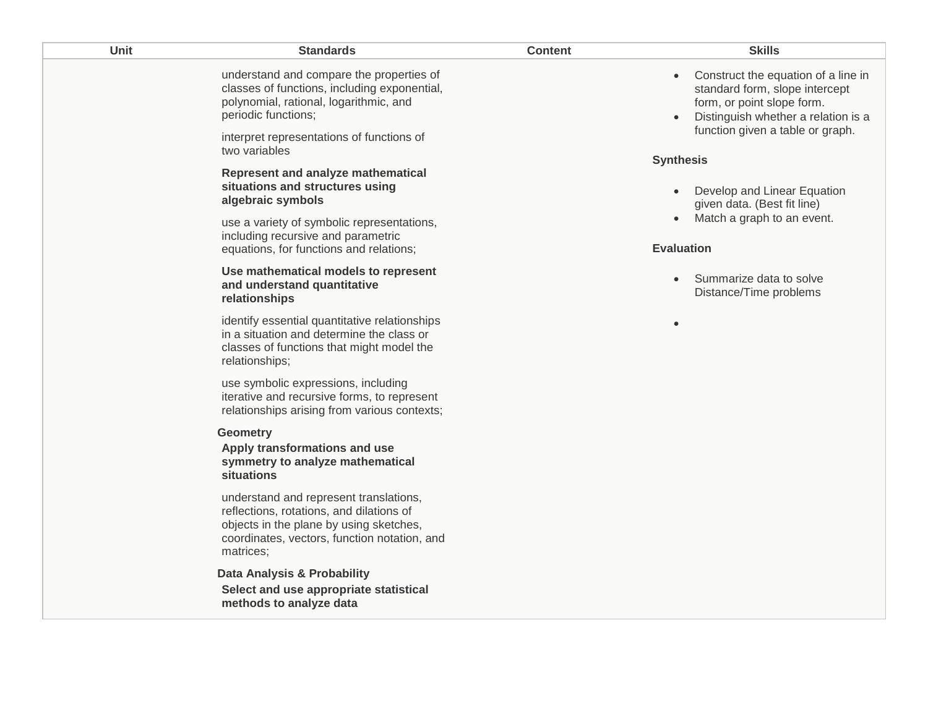| Unit | <b>Standards</b>                                                                                                                                                                                       | <b>Content</b> | <b>Skills</b>                                                                                                                                                                                            |
|------|--------------------------------------------------------------------------------------------------------------------------------------------------------------------------------------------------------|----------------|----------------------------------------------------------------------------------------------------------------------------------------------------------------------------------------------------------|
|      | understand and compare the properties of<br>classes of functions, including exponential,<br>polynomial, rational, logarithmic, and<br>periodic functions;<br>interpret representations of functions of |                | Construct the equation of a line in<br>$\bullet$<br>standard form, slope intercept<br>form, or point slope form.<br>Distinguish whether a relation is a<br>$\bullet$<br>function given a table or graph. |
|      | two variables                                                                                                                                                                                          |                | <b>Synthesis</b>                                                                                                                                                                                         |
|      | Represent and analyze mathematical<br>situations and structures using<br>algebraic symbols                                                                                                             |                | Develop and Linear Equation<br>$\bullet$<br>given data. (Best fit line)                                                                                                                                  |
|      | use a variety of symbolic representations,<br>including recursive and parametric<br>equations, for functions and relations;                                                                            |                | Match a graph to an event.<br>$\bullet$<br><b>Evaluation</b>                                                                                                                                             |
|      | Use mathematical models to represent<br>and understand quantitative<br>relationships                                                                                                                   |                | Summarize data to solve<br>$\bullet$<br>Distance/Time problems                                                                                                                                           |
|      | identify essential quantitative relationships<br>in a situation and determine the class or<br>classes of functions that might model the<br>relationships;                                              |                | $\bullet$                                                                                                                                                                                                |
|      | use symbolic expressions, including<br>iterative and recursive forms, to represent<br>relationships arising from various contexts;                                                                     |                |                                                                                                                                                                                                          |
|      | <b>Geometry</b>                                                                                                                                                                                        |                |                                                                                                                                                                                                          |
|      | Apply transformations and use<br>symmetry to analyze mathematical<br>situations                                                                                                                        |                |                                                                                                                                                                                                          |
|      | understand and represent translations,<br>reflections, rotations, and dilations of<br>objects in the plane by using sketches,<br>coordinates, vectors, function notation, and<br>matrices;             |                |                                                                                                                                                                                                          |
|      | <b>Data Analysis &amp; Probability</b>                                                                                                                                                                 |                |                                                                                                                                                                                                          |
|      | Select and use appropriate statistical<br>methods to analyze data                                                                                                                                      |                |                                                                                                                                                                                                          |
|      |                                                                                                                                                                                                        |                |                                                                                                                                                                                                          |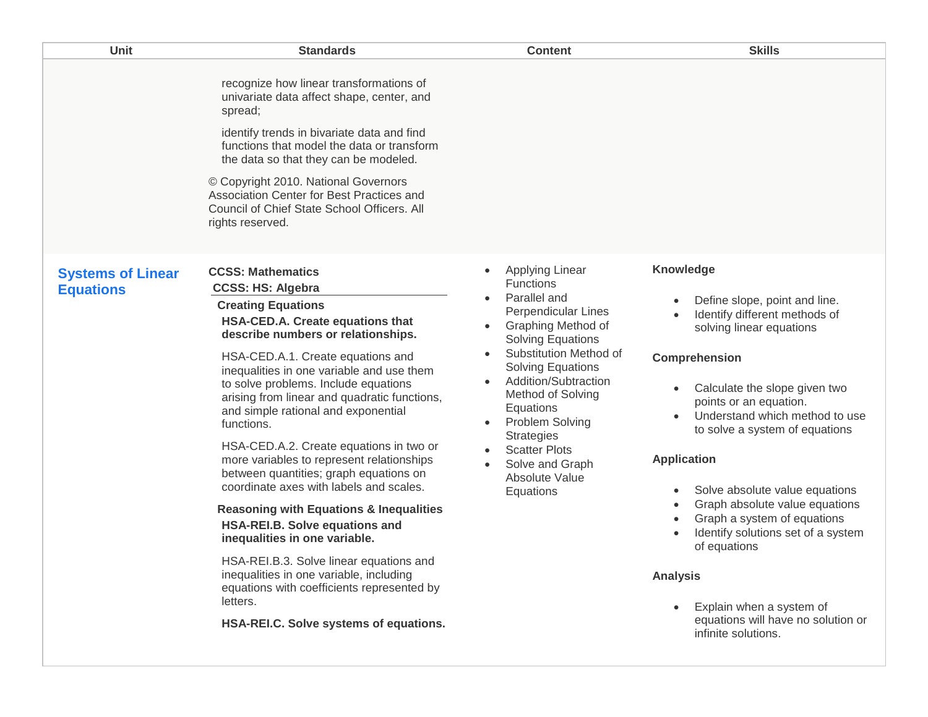| <b>Unit</b>                                  | <b>Standards</b>                                                                                                                                                                                                                                                                                                                                                                                                                                                                                                                                                                                                                                                                                                                                                                                                                                                                           | <b>Content</b>                                                                                                                                                                                                                                                                                                                                                                                                                   | <b>Skills</b>                                                                                                                                                                                                                                                                                                                                                                                                                                                                                                                                                                                                                                                     |
|----------------------------------------------|--------------------------------------------------------------------------------------------------------------------------------------------------------------------------------------------------------------------------------------------------------------------------------------------------------------------------------------------------------------------------------------------------------------------------------------------------------------------------------------------------------------------------------------------------------------------------------------------------------------------------------------------------------------------------------------------------------------------------------------------------------------------------------------------------------------------------------------------------------------------------------------------|----------------------------------------------------------------------------------------------------------------------------------------------------------------------------------------------------------------------------------------------------------------------------------------------------------------------------------------------------------------------------------------------------------------------------------|-------------------------------------------------------------------------------------------------------------------------------------------------------------------------------------------------------------------------------------------------------------------------------------------------------------------------------------------------------------------------------------------------------------------------------------------------------------------------------------------------------------------------------------------------------------------------------------------------------------------------------------------------------------------|
|                                              | recognize how linear transformations of<br>univariate data affect shape, center, and<br>spread;<br>identify trends in bivariate data and find<br>functions that model the data or transform<br>the data so that they can be modeled.<br>© Copyright 2010. National Governors<br>Association Center for Best Practices and<br>Council of Chief State School Officers. All<br>rights reserved.                                                                                                                                                                                                                                                                                                                                                                                                                                                                                               |                                                                                                                                                                                                                                                                                                                                                                                                                                  |                                                                                                                                                                                                                                                                                                                                                                                                                                                                                                                                                                                                                                                                   |
| <b>Systems of Linear</b><br><b>Equations</b> | <b>CCSS: Mathematics</b><br><b>CCSS: HS: Algebra</b><br><b>Creating Equations</b><br>HSA-CED.A. Create equations that<br>describe numbers or relationships.<br>HSA-CED.A.1. Create equations and<br>inequalities in one variable and use them<br>to solve problems. Include equations<br>arising from linear and quadratic functions,<br>and simple rational and exponential<br>functions.<br>HSA-CED.A.2. Create equations in two or<br>more variables to represent relationships<br>between quantities; graph equations on<br>coordinate axes with labels and scales.<br><b>Reasoning with Equations &amp; Inequalities</b><br>HSA-REI.B. Solve equations and<br>inequalities in one variable.<br>HSA-REI.B.3. Solve linear equations and<br>inequalities in one variable, including<br>equations with coefficients represented by<br>letters.<br>HSA-REI.C. Solve systems of equations. | <b>Applying Linear</b><br><b>Functions</b><br>Parallel and<br>Perpendicular Lines<br><b>Graphing Method of</b><br>$\bullet$<br><b>Solving Equations</b><br>Substitution Method of<br>$\bullet$<br><b>Solving Equations</b><br>Addition/Subtraction<br>$\bullet$<br>Method of Solving<br>Equations<br>Problem Solving<br>$\bullet$<br><b>Strategies</b><br><b>Scatter Plots</b><br>Solve and Graph<br>Absolute Value<br>Equations | Knowledge<br>Define slope, point and line.<br>$\bullet$<br>Identify different methods of<br>$\bullet$<br>solving linear equations<br><b>Comprehension</b><br>Calculate the slope given two<br>$\bullet$<br>points or an equation.<br>Understand which method to use<br>to solve a system of equations<br><b>Application</b><br>Solve absolute value equations<br>$\bullet$<br>Graph absolute value equations<br>$\bullet$<br>Graph a system of equations<br>$\bullet$<br>Identify solutions set of a system<br>$\bullet$<br>of equations<br><b>Analysis</b><br>Explain when a system of<br>$\bullet$<br>equations will have no solution or<br>infinite solutions. |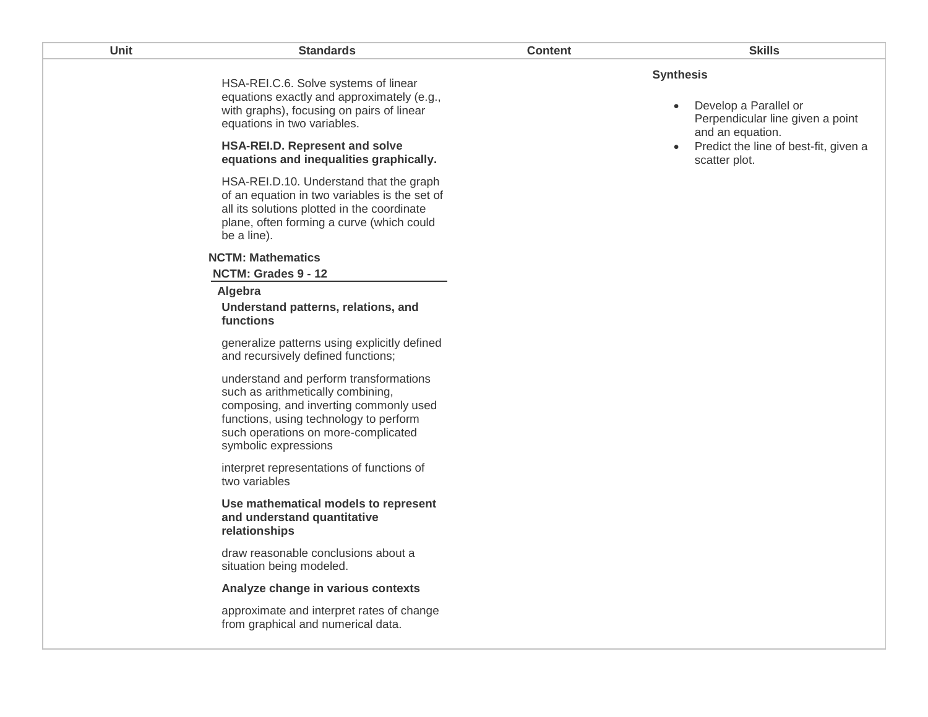| Unit | <b>Standards</b>                                                                                                                                                                                                               | <b>Content</b> | <b>Skills</b>                                                                                                  |
|------|--------------------------------------------------------------------------------------------------------------------------------------------------------------------------------------------------------------------------------|----------------|----------------------------------------------------------------------------------------------------------------|
|      | HSA-REI.C.6. Solve systems of linear<br>equations exactly and approximately (e.g.,<br>with graphs), focusing on pairs of linear<br>equations in two variables.                                                                 |                | <b>Synthesis</b><br>Develop a Parallel or<br>$\bullet$<br>Perpendicular line given a point<br>and an equation. |
|      | HSA-REI.D. Represent and solve<br>equations and inequalities graphically.                                                                                                                                                      |                | Predict the line of best-fit, given a<br>scatter plot.                                                         |
|      | HSA-REI.D.10. Understand that the graph<br>of an equation in two variables is the set of<br>all its solutions plotted in the coordinate<br>plane, often forming a curve (which could<br>be a line).                            |                |                                                                                                                |
|      | <b>NCTM: Mathematics</b><br>NCTM: Grades 9 - 12                                                                                                                                                                                |                |                                                                                                                |
|      | Algebra<br>Understand patterns, relations, and<br>functions                                                                                                                                                                    |                |                                                                                                                |
|      | generalize patterns using explicitly defined<br>and recursively defined functions;                                                                                                                                             |                |                                                                                                                |
|      | understand and perform transformations<br>such as arithmetically combining,<br>composing, and inverting commonly used<br>functions, using technology to perform<br>such operations on more-complicated<br>symbolic expressions |                |                                                                                                                |
|      | interpret representations of functions of<br>two variables                                                                                                                                                                     |                |                                                                                                                |
|      | Use mathematical models to represent<br>and understand quantitative<br>relationships                                                                                                                                           |                |                                                                                                                |
|      | draw reasonable conclusions about a<br>situation being modeled.                                                                                                                                                                |                |                                                                                                                |
|      | Analyze change in various contexts                                                                                                                                                                                             |                |                                                                                                                |
|      | approximate and interpret rates of change<br>from graphical and numerical data.                                                                                                                                                |                |                                                                                                                |
|      |                                                                                                                                                                                                                                |                |                                                                                                                |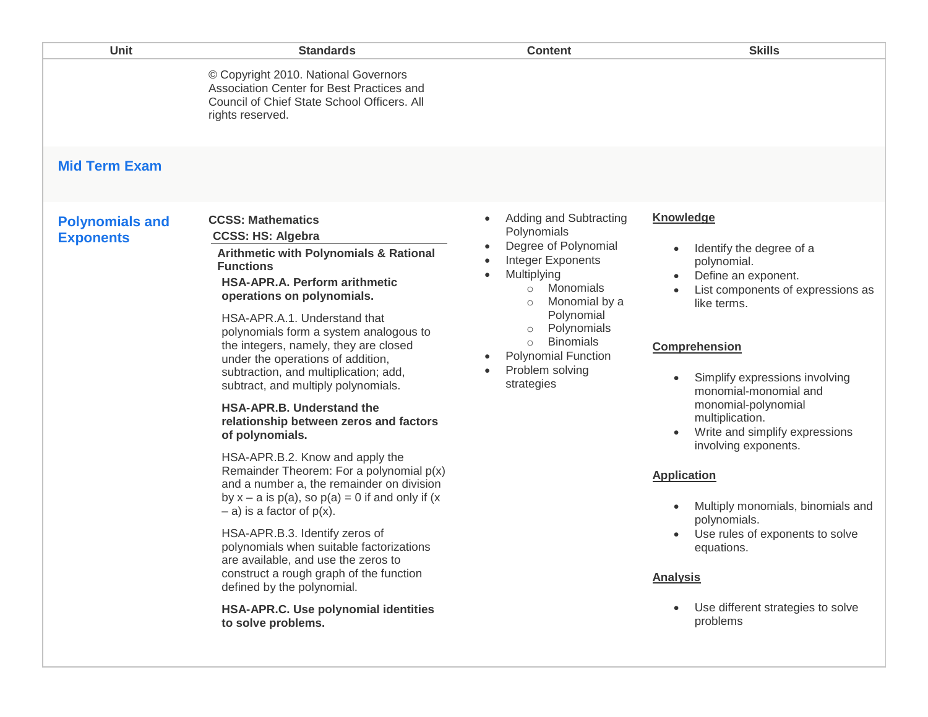|                                            | © Copyright 2010. National Governors<br>Association Center for Best Practices and<br>Council of Chief State School Officers. All<br>rights reserved.                                                                                                                                                                                                                                                                                                                                                                                                                                                                                                                                                                                                                                                                                                                                                                                                                                                                               |                                                                                                                                                                                                                                                                                                                                                        |                                                                                                                                                                                                                                                                                                                                                                                                                                                                                                                                                               |
|--------------------------------------------|------------------------------------------------------------------------------------------------------------------------------------------------------------------------------------------------------------------------------------------------------------------------------------------------------------------------------------------------------------------------------------------------------------------------------------------------------------------------------------------------------------------------------------------------------------------------------------------------------------------------------------------------------------------------------------------------------------------------------------------------------------------------------------------------------------------------------------------------------------------------------------------------------------------------------------------------------------------------------------------------------------------------------------|--------------------------------------------------------------------------------------------------------------------------------------------------------------------------------------------------------------------------------------------------------------------------------------------------------------------------------------------------------|---------------------------------------------------------------------------------------------------------------------------------------------------------------------------------------------------------------------------------------------------------------------------------------------------------------------------------------------------------------------------------------------------------------------------------------------------------------------------------------------------------------------------------------------------------------|
| <b>Mid Term Exam</b>                       |                                                                                                                                                                                                                                                                                                                                                                                                                                                                                                                                                                                                                                                                                                                                                                                                                                                                                                                                                                                                                                    |                                                                                                                                                                                                                                                                                                                                                        |                                                                                                                                                                                                                                                                                                                                                                                                                                                                                                                                                               |
| <b>Polynomials and</b><br><b>Exponents</b> | <b>CCSS: Mathematics</b><br><b>CCSS: HS: Algebra</b><br><b>Arithmetic with Polynomials &amp; Rational</b><br><b>Functions</b><br><b>HSA-APR.A. Perform arithmetic</b><br>operations on polynomials.<br>HSA-APR.A.1. Understand that<br>polynomials form a system analogous to<br>the integers, namely, they are closed<br>under the operations of addition,<br>subtraction, and multiplication; add,<br>subtract, and multiply polynomials.<br><b>HSA-APR.B. Understand the</b><br>relationship between zeros and factors<br>of polynomials.<br>HSA-APR.B.2. Know and apply the<br>Remainder Theorem: For a polynomial $p(x)$<br>and a number a, the remainder on division<br>by $x - a$ is $p(a)$ , so $p(a) = 0$ if and only if (x<br>$-$ a) is a factor of $p(x)$ .<br>HSA-APR.B.3. Identify zeros of<br>polynomials when suitable factorizations<br>are available, and use the zeros to<br>construct a rough graph of the function<br>defined by the polynomial.<br>HSA-APR.C. Use polynomial identities<br>to solve problems. | <b>Adding and Subtracting</b><br>$\bullet$<br>Polynomials<br>Degree of Polynomial<br>$\bullet$<br>Integer Exponents<br>$\bullet$<br>Multiplying<br>$\bullet$<br>Monomials<br>$\circ$<br>Monomial by a<br>$\circ$<br>Polynomial<br>Polynomials<br>$\circ$<br><b>Binomials</b><br>$\circ$<br><b>Polynomial Function</b><br>Problem solving<br>strategies | <b>Knowledge</b><br>Identify the degree of a<br>$\bullet$<br>polynomial.<br>Define an exponent.<br>List components of expressions as<br>like terms.<br>Comprehension<br>Simplify expressions involving<br>monomial-monomial and<br>monomial-polynomial<br>multiplication.<br>Write and simplify expressions<br>involving exponents.<br><b>Application</b><br>Multiply monomials, binomials and<br>$\bullet$<br>polynomials.<br>Use rules of exponents to solve<br>$\bullet$<br>equations.<br><b>Analysis</b><br>Use different strategies to solve<br>problems |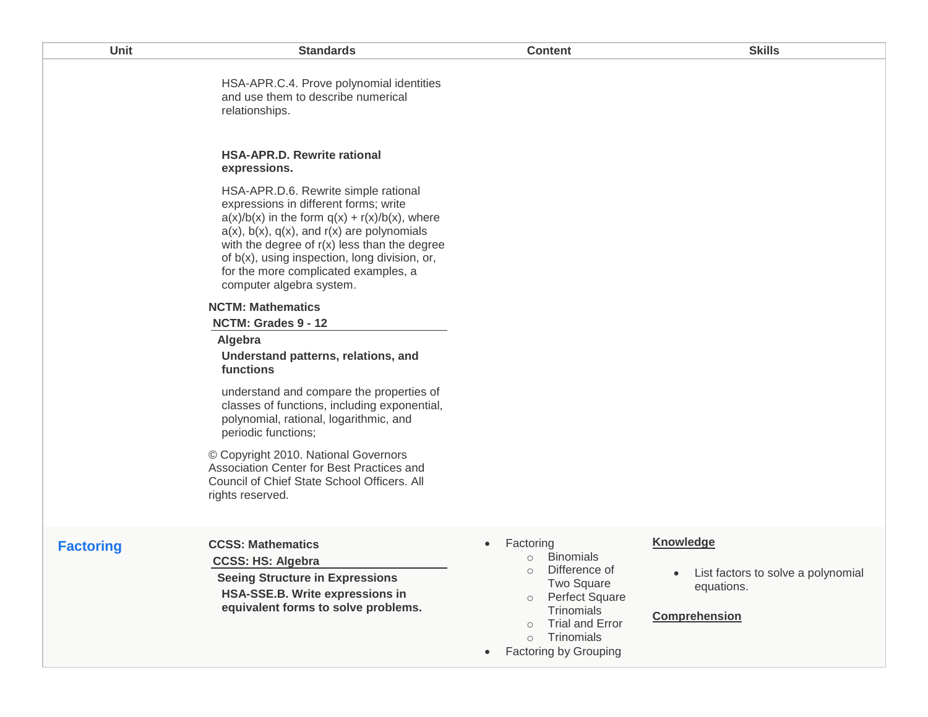| Unit             | <b>Standards</b>                                                                                                                                                                                                                                                                                                                                                    | <b>Content</b>                                                                                                                                                                         | <b>Skills</b>                                                                                |
|------------------|---------------------------------------------------------------------------------------------------------------------------------------------------------------------------------------------------------------------------------------------------------------------------------------------------------------------------------------------------------------------|----------------------------------------------------------------------------------------------------------------------------------------------------------------------------------------|----------------------------------------------------------------------------------------------|
|                  | HSA-APR.C.4. Prove polynomial identities<br>and use them to describe numerical<br>relationships.                                                                                                                                                                                                                                                                    |                                                                                                                                                                                        |                                                                                              |
|                  | <b>HSA-APR.D. Rewrite rational</b><br>expressions.                                                                                                                                                                                                                                                                                                                  |                                                                                                                                                                                        |                                                                                              |
|                  | HSA-APR.D.6. Rewrite simple rational<br>expressions in different forms; write<br>$a(x)/b(x)$ in the form $q(x) + r(x)/b(x)$ , where<br>$a(x)$ , $b(x)$ , $q(x)$ , and $r(x)$ are polynomials<br>with the degree of $r(x)$ less than the degree<br>of b(x), using inspection, long division, or,<br>for the more complicated examples, a<br>computer algebra system. |                                                                                                                                                                                        |                                                                                              |
|                  | <b>NCTM: Mathematics</b><br>NCTM: Grades 9 - 12                                                                                                                                                                                                                                                                                                                     |                                                                                                                                                                                        |                                                                                              |
|                  | Algebra<br>Understand patterns, relations, and<br>functions                                                                                                                                                                                                                                                                                                         |                                                                                                                                                                                        |                                                                                              |
|                  | understand and compare the properties of<br>classes of functions, including exponential,<br>polynomial, rational, logarithmic, and<br>periodic functions;                                                                                                                                                                                                           |                                                                                                                                                                                        |                                                                                              |
|                  | © Copyright 2010. National Governors<br>Association Center for Best Practices and<br>Council of Chief State School Officers. All<br>rights reserved.                                                                                                                                                                                                                |                                                                                                                                                                                        |                                                                                              |
| <b>Factoring</b> | <b>CCSS: Mathematics</b><br><b>CCSS: HS: Algebra</b><br><b>Seeing Structure in Expressions</b><br>HSA-SSE.B. Write expressions in<br>equivalent forms to solve problems.                                                                                                                                                                                            | Factoring<br>$\bullet$<br><b>Binomials</b><br>$\circ$<br>Difference of<br>$\circ$<br><b>Two Square</b><br>Perfect Square<br>$\circ$<br>Trinomials<br><b>Trial and Error</b><br>$\circ$ | <b>Knowledge</b><br>List factors to solve a polynomial<br>equations.<br><b>Comprehension</b> |
|                  |                                                                                                                                                                                                                                                                                                                                                                     | Trinomials<br>$\circ$<br><b>Factoring by Grouping</b><br>$\bullet$                                                                                                                     |                                                                                              |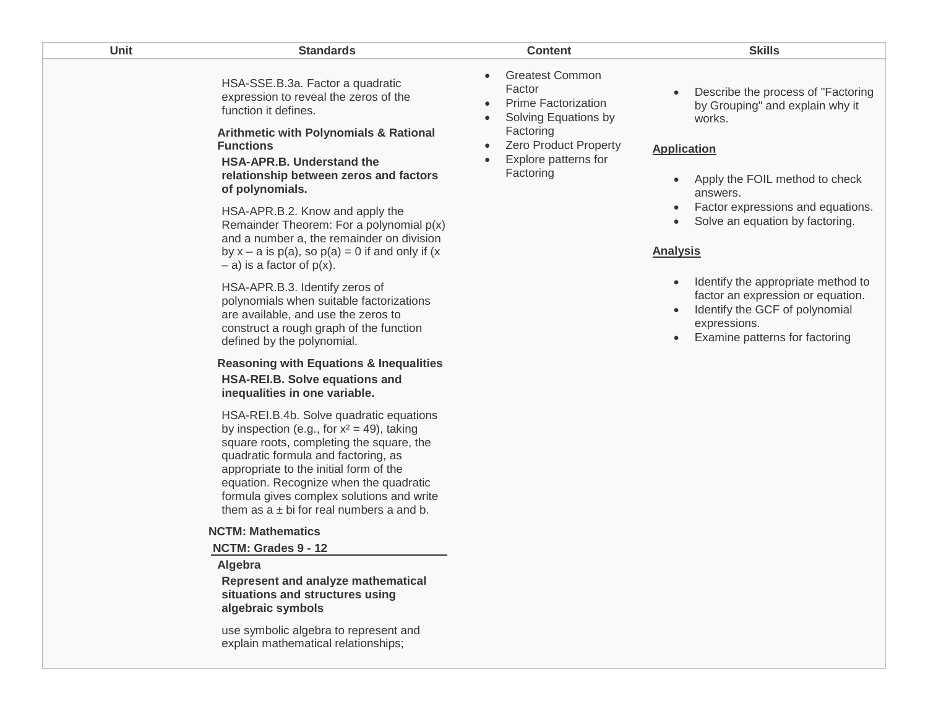| Unit | <b>Standards</b>                                                                                                                                                                                                                                                                                                                                             | <b>Content</b>                                                                                                                                                           | <b>Skills</b>                                                                                                                                               |
|------|--------------------------------------------------------------------------------------------------------------------------------------------------------------------------------------------------------------------------------------------------------------------------------------------------------------------------------------------------------------|--------------------------------------------------------------------------------------------------------------------------------------------------------------------------|-------------------------------------------------------------------------------------------------------------------------------------------------------------|
|      | HSA-SSE.B.3a. Factor a quadratic<br>expression to reveal the zeros of the<br>function it defines.<br><b>Arithmetic with Polynomials &amp; Rational</b><br><b>Functions</b><br><b>HSA-APR.B. Understand the</b><br>relationship between zeros and factors<br>of polynomials.                                                                                  | <b>Greatest Common</b><br>Factor<br><b>Prime Factorization</b><br>Solving Equations by<br>Factoring<br><b>Zero Product Property</b><br>Explore patterns for<br>Factoring | Describe the process of "Factoring<br>by Grouping" and explain why it<br>works.<br><b>Application</b><br>Apply the FOIL method to check<br>answers.         |
|      | HSA-APR.B.2. Know and apply the<br>Remainder Theorem: For a polynomial p(x)<br>and a number a, the remainder on division<br>by $x - a$ is $p(a)$ , so $p(a) = 0$ if and only if $(x$<br>$-$ a) is a factor of $p(x)$ .                                                                                                                                       |                                                                                                                                                                          | Factor expressions and equations.<br>Solve an equation by factoring.<br><b>Analysis</b>                                                                     |
|      | HSA-APR.B.3. Identify zeros of<br>polynomials when suitable factorizations<br>are available, and use the zeros to<br>construct a rough graph of the function<br>defined by the polynomial.                                                                                                                                                                   |                                                                                                                                                                          | Identify the appropriate method to<br>factor an expression or equation.<br>Identify the GCF of polynomial<br>expressions.<br>Examine patterns for factoring |
|      | <b>Reasoning with Equations &amp; Inequalities</b><br>HSA-REI.B. Solve equations and<br>inequalities in one variable.                                                                                                                                                                                                                                        |                                                                                                                                                                          |                                                                                                                                                             |
|      | HSA-REI.B.4b. Solve quadratic equations<br>by inspection (e.g., for $x^2 = 49$ ), taking<br>square roots, completing the square, the<br>quadratic formula and factoring, as<br>appropriate to the initial form of the<br>equation. Recognize when the quadratic<br>formula gives complex solutions and write<br>them as $a \pm bi$ for real numbers a and b. |                                                                                                                                                                          |                                                                                                                                                             |
|      | <b>NCTM: Mathematics</b>                                                                                                                                                                                                                                                                                                                                     |                                                                                                                                                                          |                                                                                                                                                             |
|      | NCTM: Grades 9 - 12<br>Algebra                                                                                                                                                                                                                                                                                                                               |                                                                                                                                                                          |                                                                                                                                                             |
|      | Represent and analyze mathematical<br>situations and structures using<br>algebraic symbols                                                                                                                                                                                                                                                                   |                                                                                                                                                                          |                                                                                                                                                             |
|      | use symbolic algebra to represent and<br>explain mathematical relationships;                                                                                                                                                                                                                                                                                 |                                                                                                                                                                          |                                                                                                                                                             |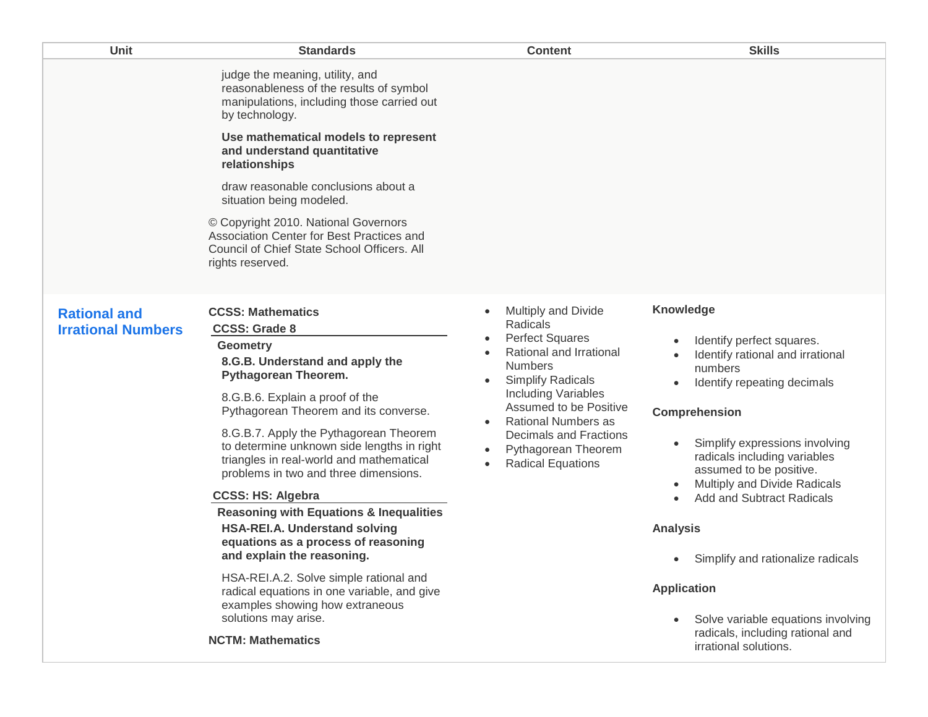| Unit                                             | <b>Standards</b>                                                                                                                                                                                                                                                                                                                                                                                                                                                                                                                                                                                                                                                                                                                                                       | <b>Content</b>                                                                                                                                                                                                                                                                                                                                                                             | <b>Skills</b>                                                                                                                                                                                                                                                                                                                                                                                                                                                                                                                         |
|--------------------------------------------------|------------------------------------------------------------------------------------------------------------------------------------------------------------------------------------------------------------------------------------------------------------------------------------------------------------------------------------------------------------------------------------------------------------------------------------------------------------------------------------------------------------------------------------------------------------------------------------------------------------------------------------------------------------------------------------------------------------------------------------------------------------------------|--------------------------------------------------------------------------------------------------------------------------------------------------------------------------------------------------------------------------------------------------------------------------------------------------------------------------------------------------------------------------------------------|---------------------------------------------------------------------------------------------------------------------------------------------------------------------------------------------------------------------------------------------------------------------------------------------------------------------------------------------------------------------------------------------------------------------------------------------------------------------------------------------------------------------------------------|
|                                                  | judge the meaning, utility, and<br>reasonableness of the results of symbol<br>manipulations, including those carried out<br>by technology.<br>Use mathematical models to represent<br>and understand quantitative<br>relationships<br>draw reasonable conclusions about a<br>situation being modeled.<br>© Copyright 2010. National Governors<br>Association Center for Best Practices and<br>Council of Chief State School Officers. All<br>rights reserved.                                                                                                                                                                                                                                                                                                          |                                                                                                                                                                                                                                                                                                                                                                                            |                                                                                                                                                                                                                                                                                                                                                                                                                                                                                                                                       |
| <b>Rational and</b><br><b>Irrational Numbers</b> | <b>CCSS: Mathematics</b><br><b>CCSS: Grade 8</b><br><b>Geometry</b><br>8.G.B. Understand and apply the<br>Pythagorean Theorem.<br>8.G.B.6. Explain a proof of the<br>Pythagorean Theorem and its converse.<br>8.G.B.7. Apply the Pythagorean Theorem<br>to determine unknown side lengths in right<br>triangles in real-world and mathematical<br>problems in two and three dimensions.<br><b>CCSS: HS: Algebra</b><br><b>Reasoning with Equations &amp; Inequalities</b><br><b>HSA-REI.A. Understand solving</b><br>equations as a process of reasoning<br>and explain the reasoning.<br>HSA-REI.A.2. Solve simple rational and<br>radical equations in one variable, and give<br>examples showing how extraneous<br>solutions may arise.<br><b>NCTM: Mathematics</b> | Multiply and Divide<br>$\bullet$<br>Radicals<br><b>Perfect Squares</b><br>$\bullet$<br>Rational and Irrational<br><b>Numbers</b><br><b>Simplify Radicals</b><br>$\bullet$<br><b>Including Variables</b><br>Assumed to be Positive<br><b>Rational Numbers as</b><br>$\bullet$<br><b>Decimals and Fractions</b><br>Pythagorean Theorem<br>$\bullet$<br><b>Radical Equations</b><br>$\bullet$ | <b>Knowledge</b><br>Identify perfect squares.<br>Identify rational and irrational<br>numbers<br>Identify repeating decimals<br>$\bullet$<br>Comprehension<br>Simplify expressions involving<br>radicals including variables<br>assumed to be positive.<br>Multiply and Divide Radicals<br>$\bullet$<br><b>Add and Subtract Radicals</b><br><b>Analysis</b><br>Simplify and rationalize radicals<br>$\bullet$<br><b>Application</b><br>Solve variable equations involving<br>radicals, including rational and<br>irrational solutions. |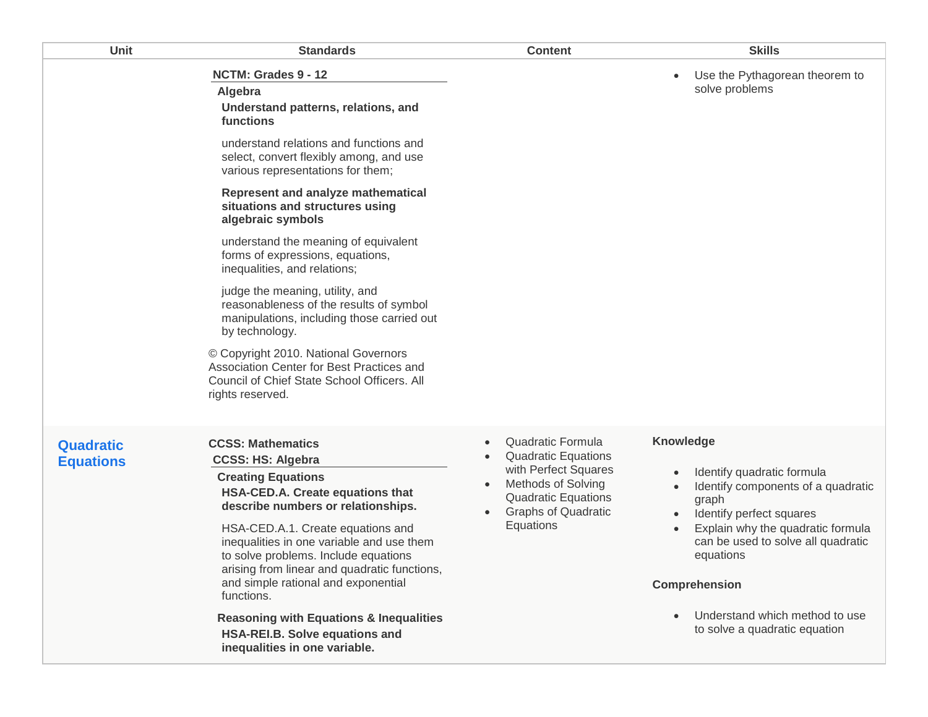| Unit                                 | <b>Standards</b>                                                                                                                                                                                                            | <b>Content</b>                                                                                                                                                                             | <b>Skills</b>                                                                                                      |
|--------------------------------------|-----------------------------------------------------------------------------------------------------------------------------------------------------------------------------------------------------------------------------|--------------------------------------------------------------------------------------------------------------------------------------------------------------------------------------------|--------------------------------------------------------------------------------------------------------------------|
|                                      | NCTM: Grades 9 - 12<br>Algebra<br>Understand patterns, relations, and<br>functions                                                                                                                                          |                                                                                                                                                                                            | Use the Pythagorean theorem to<br>solve problems                                                                   |
|                                      | understand relations and functions and<br>select, convert flexibly among, and use<br>various representations for them;                                                                                                      |                                                                                                                                                                                            |                                                                                                                    |
|                                      | Represent and analyze mathematical<br>situations and structures using<br>algebraic symbols                                                                                                                                  |                                                                                                                                                                                            |                                                                                                                    |
|                                      | understand the meaning of equivalent<br>forms of expressions, equations,<br>inequalities, and relations;                                                                                                                    |                                                                                                                                                                                            |                                                                                                                    |
|                                      | judge the meaning, utility, and<br>reasonableness of the results of symbol<br>manipulations, including those carried out<br>by technology.                                                                                  |                                                                                                                                                                                            |                                                                                                                    |
|                                      | © Copyright 2010. National Governors<br>Association Center for Best Practices and<br>Council of Chief State School Officers. All<br>rights reserved.                                                                        |                                                                                                                                                                                            |                                                                                                                    |
| <b>Quadratic</b><br><b>Equations</b> | <b>CCSS: Mathematics</b><br><b>CCSS: HS: Algebra</b><br><b>Creating Equations</b><br>HSA-CED.A. Create equations that<br>describe numbers or relationships.                                                                 | Quadratic Formula<br>$\bullet$<br><b>Quadratic Equations</b><br>with Perfect Squares<br><b>Methods of Solving</b><br><b>Quadratic Equations</b><br><b>Graphs of Quadratic</b><br>$\bullet$ | Knowledge<br>Identify quadratic formula<br>Identify components of a quadratic<br>graph<br>Identify perfect squares |
|                                      | HSA-CED.A.1. Create equations and<br>inequalities in one variable and use them<br>to solve problems. Include equations<br>arising from linear and quadratic functions,<br>and simple rational and exponential<br>functions. | Equations                                                                                                                                                                                  | Explain why the quadratic formula<br>can be used to solve all quadratic<br>equations<br>Comprehension              |
|                                      | <b>Reasoning with Equations &amp; Inequalities</b><br>HSA-REI.B. Solve equations and<br>inequalities in one variable.                                                                                                       |                                                                                                                                                                                            | Understand which method to use<br>to solve a quadratic equation                                                    |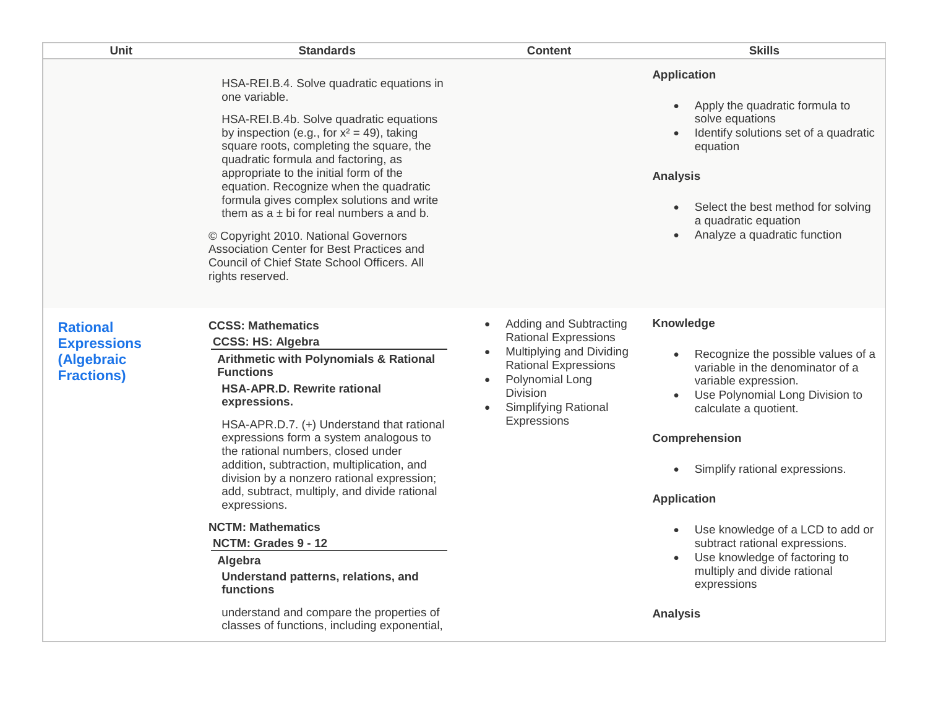| Unit                                                                     | <b>Standards</b>                                                                                                                                                                                                                                                                                                                                                                                                                                                                                                                                                                                                                                                                           | <b>Content</b>                                                                                                                                                                         | <b>Skills</b>                                                                                                                                                                                                                                                                                                                                                                                                                                                           |
|--------------------------------------------------------------------------|--------------------------------------------------------------------------------------------------------------------------------------------------------------------------------------------------------------------------------------------------------------------------------------------------------------------------------------------------------------------------------------------------------------------------------------------------------------------------------------------------------------------------------------------------------------------------------------------------------------------------------------------------------------------------------------------|----------------------------------------------------------------------------------------------------------------------------------------------------------------------------------------|-------------------------------------------------------------------------------------------------------------------------------------------------------------------------------------------------------------------------------------------------------------------------------------------------------------------------------------------------------------------------------------------------------------------------------------------------------------------------|
|                                                                          | HSA-REI.B.4. Solve quadratic equations in<br>one variable.<br>HSA-REI.B.4b. Solve quadratic equations<br>by inspection (e.g., for $x^2 = 49$ ), taking<br>square roots, completing the square, the<br>quadratic formula and factoring, as<br>appropriate to the initial form of the<br>equation. Recognize when the quadratic<br>formula gives complex solutions and write<br>them as $a \pm bi$ for real numbers a and b.<br>© Copyright 2010. National Governors<br>Association Center for Best Practices and<br>Council of Chief State School Officers. All<br>rights reserved.                                                                                                         |                                                                                                                                                                                        | <b>Application</b><br>Apply the quadratic formula to<br>$\bullet$<br>solve equations<br>Identify solutions set of a quadratic<br>$\bullet$<br>equation<br><b>Analysis</b><br>Select the best method for solving<br>$\bullet$<br>a quadratic equation<br>Analyze a quadratic function<br>$\bullet$                                                                                                                                                                       |
| <b>Rational</b><br><b>Expressions</b><br>(Algebraic<br><b>Fractions)</b> | <b>CCSS: Mathematics</b><br><b>CCSS: HS: Algebra</b><br><b>Arithmetic with Polynomials &amp; Rational</b><br><b>Functions</b><br><b>HSA-APR.D. Rewrite rational</b><br>expressions.<br>HSA-APR.D.7. (+) Understand that rational<br>expressions form a system analogous to<br>the rational numbers, closed under<br>addition, subtraction, multiplication, and<br>division by a nonzero rational expression;<br>add, subtract, multiply, and divide rational<br>expressions.<br><b>NCTM: Mathematics</b><br>NCTM: Grades 9 - 12<br>Algebra<br>Understand patterns, relations, and<br>functions<br>understand and compare the properties of<br>classes of functions, including exponential, | Adding and Subtracting<br><b>Rational Expressions</b><br>Multiplying and Dividing<br><b>Rational Expressions</b><br>Polynomial Long<br>Division<br>Simplifying Rational<br>Expressions | Knowledge<br>Recognize the possible values of a<br>variable in the denominator of a<br>variable expression.<br>Use Polynomial Long Division to<br>$\bullet$<br>calculate a quotient.<br><b>Comprehension</b><br>Simplify rational expressions.<br><b>Application</b><br>Use knowledge of a LCD to add or<br>$\bullet$<br>subtract rational expressions.<br>Use knowledge of factoring to<br>$\bullet$<br>multiply and divide rational<br>expressions<br><b>Analysis</b> |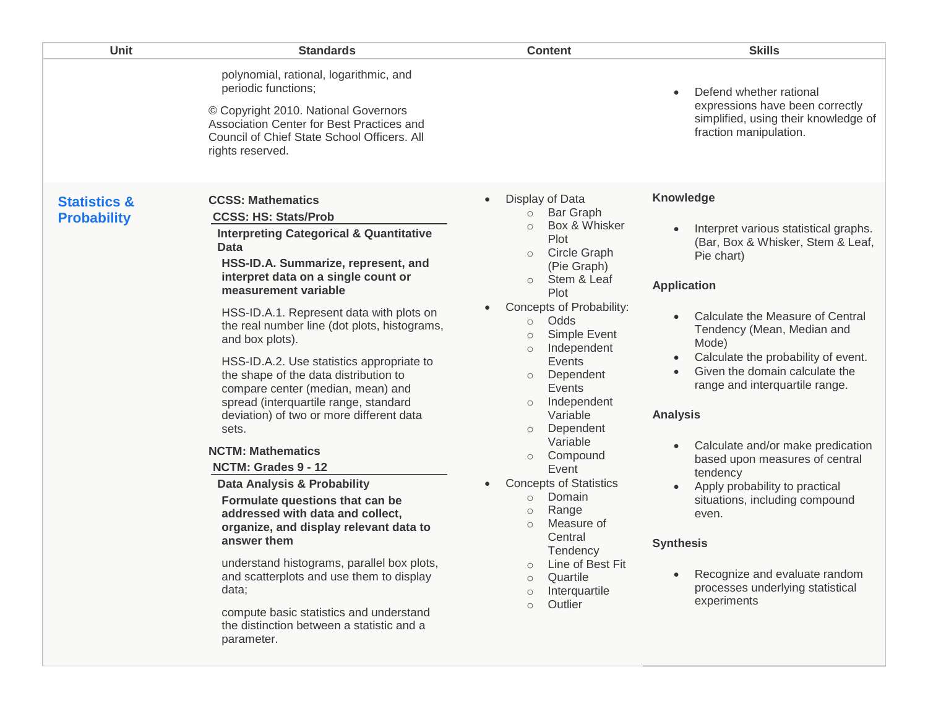| Unit                                          | <b>Standards</b>                                                                                                                                                                                                                                                                                                                                                                                                                                                                                                                                                                                                                                                                                                                                                                                                                                                                                | <b>Content</b>                                                                                                                                                                                                                                                                                                                                                                                                                                                                                                                                                                                                                                                  | <b>Skills</b>                                                                                                                                                                                                                                                                                                                                                                                                                                                                                                                                                                                                                                 |
|-----------------------------------------------|-------------------------------------------------------------------------------------------------------------------------------------------------------------------------------------------------------------------------------------------------------------------------------------------------------------------------------------------------------------------------------------------------------------------------------------------------------------------------------------------------------------------------------------------------------------------------------------------------------------------------------------------------------------------------------------------------------------------------------------------------------------------------------------------------------------------------------------------------------------------------------------------------|-----------------------------------------------------------------------------------------------------------------------------------------------------------------------------------------------------------------------------------------------------------------------------------------------------------------------------------------------------------------------------------------------------------------------------------------------------------------------------------------------------------------------------------------------------------------------------------------------------------------------------------------------------------------|-----------------------------------------------------------------------------------------------------------------------------------------------------------------------------------------------------------------------------------------------------------------------------------------------------------------------------------------------------------------------------------------------------------------------------------------------------------------------------------------------------------------------------------------------------------------------------------------------------------------------------------------------|
|                                               | polynomial, rational, logarithmic, and<br>periodic functions;<br>© Copyright 2010. National Governors<br>Association Center for Best Practices and<br>Council of Chief State School Officers. All<br>rights reserved.                                                                                                                                                                                                                                                                                                                                                                                                                                                                                                                                                                                                                                                                           |                                                                                                                                                                                                                                                                                                                                                                                                                                                                                                                                                                                                                                                                 | Defend whether rational<br>$\bullet$<br>expressions have been correctly<br>simplified, using their knowledge of<br>fraction manipulation.                                                                                                                                                                                                                                                                                                                                                                                                                                                                                                     |
| <b>Statistics &amp;</b><br><b>Probability</b> | <b>CCSS: Mathematics</b><br><b>CCSS: HS: Stats/Prob</b><br><b>Interpreting Categorical &amp; Quantitative</b><br><b>Data</b><br>HSS-ID.A. Summarize, represent, and<br>interpret data on a single count or<br>measurement variable<br>HSS-ID.A.1. Represent data with plots on<br>the real number line (dot plots, histograms,<br>and box plots).<br>HSS-ID.A.2. Use statistics appropriate to<br>the shape of the data distribution to<br>compare center (median, mean) and<br>spread (interquartile range, standard<br>deviation) of two or more different data<br>sets.<br><b>NCTM: Mathematics</b><br>NCTM: Grades 9 - 12<br>Data Analysis & Probability<br>Formulate questions that can be<br>addressed with data and collect,<br>organize, and display relevant data to<br>answer them<br>understand histograms, parallel box plots,<br>and scatterplots and use them to display<br>data; | Display of Data<br>$\bullet$<br><b>Bar Graph</b><br>$\circ$<br>Box & Whisker<br>Plot<br>Circle Graph<br>$\circ$<br>(Pie Graph)<br>Stem & Leaf<br>$\circ$<br>Plot<br>Concepts of Probability:<br>Odds<br>$\circ$<br>Simple Event<br>$\circ$<br>Independent<br>$\circ$<br>Events<br>Dependent<br>Events<br>Independent<br>$\circ$<br>Variable<br>Dependent<br>$\circ$<br>Variable<br>Compound<br>$\circ$<br>Event<br><b>Concepts of Statistics</b><br>$\bullet$<br>Domain<br>$\circ$<br>Range<br>$\circlearrowright$<br>Measure of<br>$\circ$<br>Central<br>Tendency<br>Line of Best Fit<br>Quartile<br>$\circ$<br>Interquartile<br>$\circ$<br>Outlier<br>$\circ$ | <b>Knowledge</b><br>Interpret various statistical graphs.<br>(Bar, Box & Whisker, Stem & Leaf,<br>Pie chart)<br><b>Application</b><br>Calculate the Measure of Central<br>Tendency (Mean, Median and<br>Mode)<br>Calculate the probability of event.<br>$\bullet$<br>Given the domain calculate the<br>$\bullet$<br>range and interquartile range.<br><b>Analysis</b><br>Calculate and/or make predication<br>based upon measures of central<br>tendency<br>Apply probability to practical<br>situations, including compound<br>even.<br><b>Synthesis</b><br>Recognize and evaluate random<br>processes underlying statistical<br>experiments |
|                                               | compute basic statistics and understand<br>the distinction between a statistic and a<br>parameter.                                                                                                                                                                                                                                                                                                                                                                                                                                                                                                                                                                                                                                                                                                                                                                                              |                                                                                                                                                                                                                                                                                                                                                                                                                                                                                                                                                                                                                                                                 |                                                                                                                                                                                                                                                                                                                                                                                                                                                                                                                                                                                                                                               |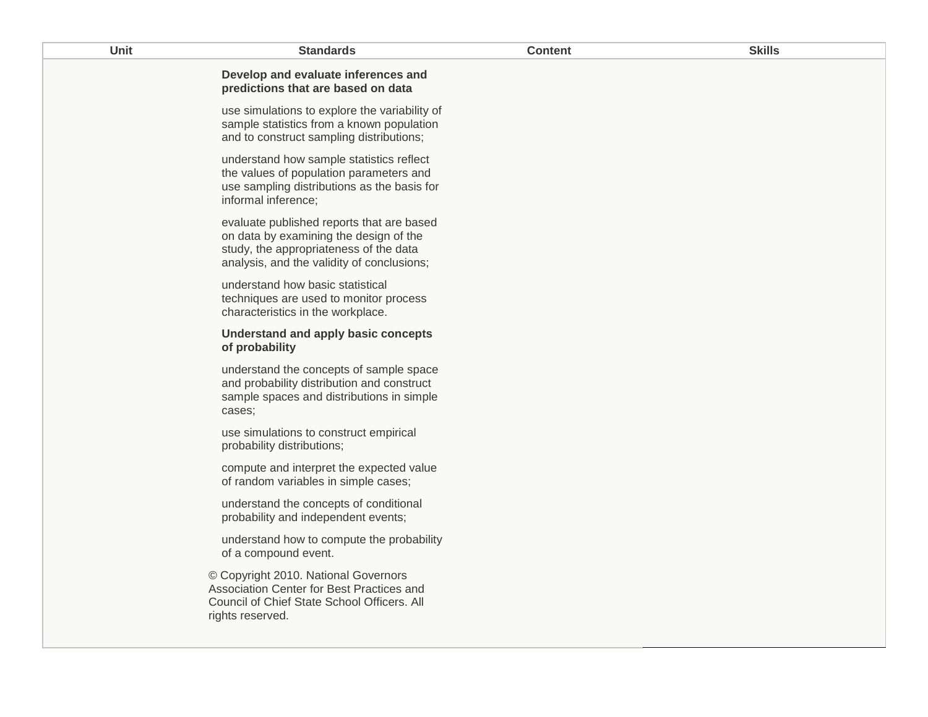| <b>Unit</b> | <b>Standards</b>                                                                                                                                                            | <b>Content</b> | <b>Skills</b> |
|-------------|-----------------------------------------------------------------------------------------------------------------------------------------------------------------------------|----------------|---------------|
|             | Develop and evaluate inferences and<br>predictions that are based on data                                                                                                   |                |               |
|             | use simulations to explore the variability of<br>sample statistics from a known population<br>and to construct sampling distributions;                                      |                |               |
|             | understand how sample statistics reflect<br>the values of population parameters and<br>use sampling distributions as the basis for<br>informal inference;                   |                |               |
|             | evaluate published reports that are based<br>on data by examining the design of the<br>study, the appropriateness of the data<br>analysis, and the validity of conclusions; |                |               |
|             | understand how basic statistical<br>techniques are used to monitor process<br>characteristics in the workplace.                                                             |                |               |
|             | Understand and apply basic concepts<br>of probability                                                                                                                       |                |               |
|             | understand the concepts of sample space<br>and probability distribution and construct<br>sample spaces and distributions in simple<br>cases;                                |                |               |
|             | use simulations to construct empirical<br>probability distributions;                                                                                                        |                |               |
|             | compute and interpret the expected value<br>of random variables in simple cases;                                                                                            |                |               |
|             | understand the concepts of conditional<br>probability and independent events;                                                                                               |                |               |
|             | understand how to compute the probability<br>of a compound event.                                                                                                           |                |               |
|             | © Copyright 2010. National Governors<br>Association Center for Best Practices and<br>Council of Chief State School Officers. All<br>rights reserved.                        |                |               |
|             |                                                                                                                                                                             |                |               |